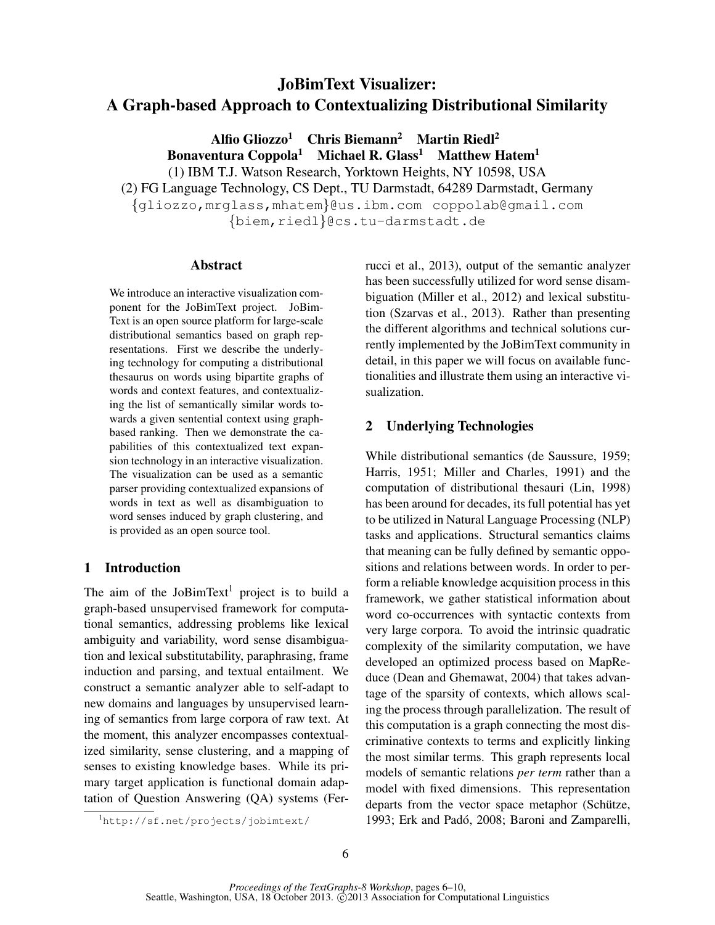# JoBimText Visualizer: A Graph-based Approach to Contextualizing Distributional Similarity

Alfio Gliozzo<sup>1</sup> Chris Biemann<sup>2</sup> Martin Riedl<sup>2</sup> Bonaventura Coppola<sup>1</sup> Michael R. Glass<sup>1</sup> Matthew Hatem<sup>1</sup> (1) IBM T.J. Watson Research, Yorktown Heights, NY 10598, USA (2) FG Language Technology, CS Dept., TU Darmstadt, 64289 Darmstadt, Germany

{gliozzo,mrglass,mhatem}@us.ibm.com coppolab@gmail.com

{biem,riedl}@cs.tu-darmstadt.de

## Abstract

We introduce an interactive visualization component for the JoBimText project. JoBim-Text is an open source platform for large-scale distributional semantics based on graph representations. First we describe the underlying technology for computing a distributional thesaurus on words using bipartite graphs of words and context features, and contextualizing the list of semantically similar words towards a given sentential context using graphbased ranking. Then we demonstrate the capabilities of this contextualized text expansion technology in an interactive visualization. The visualization can be used as a semantic parser providing contextualized expansions of words in text as well as disambiguation to word senses induced by graph clustering, and is provided as an open source tool.

## 1 Introduction

The aim of the JoBimText<sup>1</sup> project is to build a graph-based unsupervised framework for computational semantics, addressing problems like lexical ambiguity and variability, word sense disambiguation and lexical substitutability, paraphrasing, frame induction and parsing, and textual entailment. We construct a semantic analyzer able to self-adapt to new domains and languages by unsupervised learning of semantics from large corpora of raw text. At the moment, this analyzer encompasses contextualized similarity, sense clustering, and a mapping of senses to existing knowledge bases. While its primary target application is functional domain adaptation of Question Answering (QA) systems (Ferrucci et al., 2013), output of the semantic analyzer has been successfully utilized for word sense disambiguation (Miller et al., 2012) and lexical substitution (Szarvas et al., 2013). Rather than presenting the different algorithms and technical solutions currently implemented by the JoBimText community in detail, in this paper we will focus on available functionalities and illustrate them using an interactive visualization.

# 2 Underlying Technologies

While distributional semantics (de Saussure, 1959; Harris, 1951; Miller and Charles, 1991) and the computation of distributional thesauri (Lin, 1998) has been around for decades, its full potential has yet to be utilized in Natural Language Processing (NLP) tasks and applications. Structural semantics claims that meaning can be fully defined by semantic oppositions and relations between words. In order to perform a reliable knowledge acquisition process in this framework, we gather statistical information about word co-occurrences with syntactic contexts from very large corpora. To avoid the intrinsic quadratic complexity of the similarity computation, we have developed an optimized process based on MapReduce (Dean and Ghemawat, 2004) that takes advantage of the sparsity of contexts, which allows scaling the process through parallelization. The result of this computation is a graph connecting the most discriminative contexts to terms and explicitly linking the most similar terms. This graph represents local models of semantic relations *per term* rather than a model with fixed dimensions. This representation departs from the vector space metaphor (Schütze, 1993; Erk and Padó, 2008; Baroni and Zamparelli,

<sup>1</sup>http://sf.net/projects/jobimtext/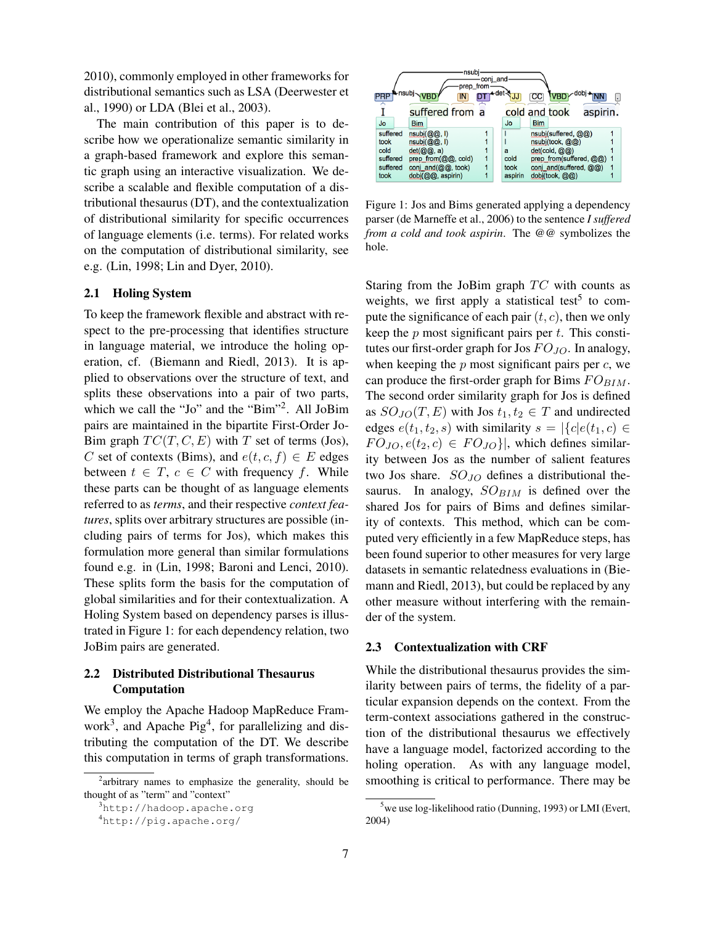2010), commonly employed in other frameworks for distributional semantics such as LSA (Deerwester et al., 1990) or LDA (Blei et al., 2003).

The main contribution of this paper is to describe how we operationalize semantic similarity in a graph-based framework and explore this semantic graph using an interactive visualization. We describe a scalable and flexible computation of a distributional thesaurus (DT), and the contextualization of distributional similarity for specific occurrences of language elements (i.e. terms). For related works on the computation of distributional similarity, see e.g. (Lin, 1998; Lin and Dyer, 2010).

#### 2.1 Holing System

To keep the framework flexible and abstract with respect to the pre-processing that identifies structure in language material, we introduce the holing operation, cf. (Biemann and Riedl, 2013). It is applied to observations over the structure of text, and splits these observations into a pair of two parts, which we call the "Jo" and the "Bim"<sup>2</sup>. All JoBim pairs are maintained in the bipartite First-Order Jo-Bim graph  $TC(T, C, E)$  with T set of terms (Jos), C set of contexts (Bims), and  $e(t, c, f) \in E$  edges between  $t \in T$ ,  $c \in C$  with frequency f. While these parts can be thought of as language elements referred to as *terms*, and their respective *context features*, splits over arbitrary structures are possible (including pairs of terms for Jos), which makes this formulation more general than similar formulations found e.g. in (Lin, 1998; Baroni and Lenci, 2010). These splits form the basis for the computation of global similarities and for their contextualization. A Holing System based on dependency parses is illustrated in Figure 1: for each dependency relation, two JoBim pairs are generated.

## 2.2 Distributed Distributional Thesaurus Computation

We employ the Apache Hadoop MapReduce Framwork<sup>3</sup>, and Apache Pig<sup>4</sup>, for parallelizing and distributing the computation of the DT. We describe this computation in terms of graph transformations.



Figure 1: Jos and Bims generated applying a dependency parser (de Marneffe et al., 2006) to the sentence *I suffered from a cold and took aspirin*. The @@ symbolizes the hole.

Staring from the JoBim graph  $TC$  with counts as weights, we first apply a statistical test<sup>5</sup> to compute the significance of each pair  $(t, c)$ , then we only keep the  $p$  most significant pairs per  $t$ . This constitutes our first-order graph for Jos  $FO_{JO}$ . In analogy, when keeping the  $p$  most significant pairs per  $c$ , we can produce the first-order graph for Bims  $FO_{BIM}$ . The second order similarity graph for Jos is defined as  $SO_{JO}(T, E)$  with Jos  $t_1, t_2 \in T$  and undirected edges  $e(t_1, t_2, s)$  with similarity  $s = |\{c|e(t_1, c) \in$  $FO_{JO}, e(t_2, c) \in FO_{JO}$ , which defines similarity between Jos as the number of salient features two Jos share.  $SO_{JO}$  defines a distributional thesaurus. In analogy,  $SO_{BIM}$  is defined over the shared Jos for pairs of Bims and defines similarity of contexts. This method, which can be computed very efficiently in a few MapReduce steps, has been found superior to other measures for very large datasets in semantic relatedness evaluations in (Biemann and Riedl, 2013), but could be replaced by any other measure without interfering with the remainder of the system.

#### 2.3 Contextualization with CRF

While the distributional thesaurus provides the similarity between pairs of terms, the fidelity of a particular expansion depends on the context. From the term-context associations gathered in the construction of the distributional thesaurus we effectively have a language model, factorized according to the holing operation. As with any language model, smoothing is critical to performance. There may be

<sup>&</sup>lt;sup>2</sup>arbitrary names to emphasize the generality, should be thought of as "term" and "context"

<sup>3</sup>http://hadoop.apache.org

<sup>4</sup>http://pig.apache.org/

<sup>&</sup>lt;sup>5</sup>we use log-likelihood ratio (Dunning, 1993) or LMI (Evert, 2004)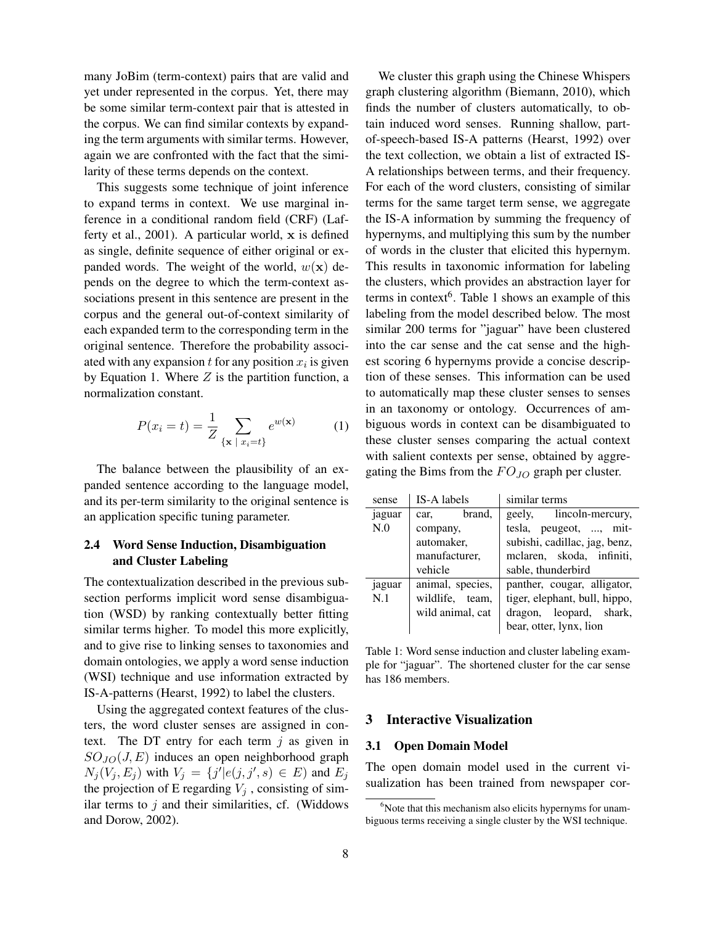many JoBim (term-context) pairs that are valid and yet under represented in the corpus. Yet, there may be some similar term-context pair that is attested in the corpus. We can find similar contexts by expanding the term arguments with similar terms. However, again we are confronted with the fact that the similarity of these terms depends on the context.

This suggests some technique of joint inference to expand terms in context. We use marginal inference in a conditional random field (CRF) (Lafferty et al., 2001). A particular world, x is defined as single, definite sequence of either original or expanded words. The weight of the world,  $w(\mathbf{x})$  depends on the degree to which the term-context associations present in this sentence are present in the corpus and the general out-of-context similarity of each expanded term to the corresponding term in the original sentence. Therefore the probability associated with any expansion  $t$  for any position  $x_i$  is given by Equation 1. Where  $Z$  is the partition function, a normalization constant.

$$
P(x_i = t) = \frac{1}{Z} \sum_{\{\mathbf{x} \mid x_i = t\}} e^{w(\mathbf{x})} \tag{1}
$$

The balance between the plausibility of an expanded sentence according to the language model, and its per-term similarity to the original sentence is an application specific tuning parameter.

## 2.4 Word Sense Induction, Disambiguation and Cluster Labeling

The contextualization described in the previous subsection performs implicit word sense disambiguation (WSD) by ranking contextually better fitting similar terms higher. To model this more explicitly, and to give rise to linking senses to taxonomies and domain ontologies, we apply a word sense induction (WSI) technique and use information extracted by IS-A-patterns (Hearst, 1992) to label the clusters.

Using the aggregated context features of the clusters, the word cluster senses are assigned in context. The DT entry for each term  $j$  as given in  $SO_{JO}(J, E)$  induces an open neighborhood graph  $N_j(V_j, E_j)$  with  $V_j = \{j' | e(j, j', s) \in E\}$  and  $E_j$ the projection of E regarding  $V_j$ , consisting of similar terms to  $j$  and their similarities, cf. (Widdows and Dorow, 2002).

We cluster this graph using the Chinese Whispers graph clustering algorithm (Biemann, 2010), which finds the number of clusters automatically, to obtain induced word senses. Running shallow, partof-speech-based IS-A patterns (Hearst, 1992) over the text collection, we obtain a list of extracted IS-A relationships between terms, and their frequency. For each of the word clusters, consisting of similar terms for the same target term sense, we aggregate the IS-A information by summing the frequency of hypernyms, and multiplying this sum by the number of words in the cluster that elicited this hypernym. This results in taxonomic information for labeling the clusters, which provides an abstraction layer for terms in context<sup>6</sup>. Table 1 shows an example of this labeling from the model described below. The most similar 200 terms for "jaguar" have been clustered into the car sense and the cat sense and the highest scoring 6 hypernyms provide a concise description of these senses. This information can be used to automatically map these cluster senses to senses in an taxonomy or ontology. Occurrences of ambiguous words in context can be disambiguated to these cluster senses comparing the actual context with salient contexts per sense, obtained by aggregating the Bims from the  $FO_{JO}$  graph per cluster.

| sense  | IS-A labels      | similar terms                 |  |
|--------|------------------|-------------------------------|--|
| jaguar | brand,<br>car,   | geely, lincoln-mercury,       |  |
| N.0    | company,         | tesla, peugeot, , mit-        |  |
|        | automaker,       | subishi, cadillac, jag, benz, |  |
|        | manufacturer,    | melaren, skoda, infiniti,     |  |
|        | vehicle          | sable, thunderbird            |  |
| jaguar | animal, species, | panther, cougar, alligator,   |  |
| N.1    | wildlife, team,  | tiger, elephant, bull, hippo, |  |
|        | wild animal, cat | dragon, leopard, shark,       |  |
|        |                  | bear, otter, lynx, lion       |  |

Table 1: Word sense induction and cluster labeling example for "jaguar". The shortened cluster for the car sense has 186 members.

## 3 Interactive Visualization

#### 3.1 Open Domain Model

The open domain model used in the current visualization has been trained from newspaper cor-

 $6$ Note that this mechanism also elicits hypernyms for unambiguous terms receiving a single cluster by the WSI technique.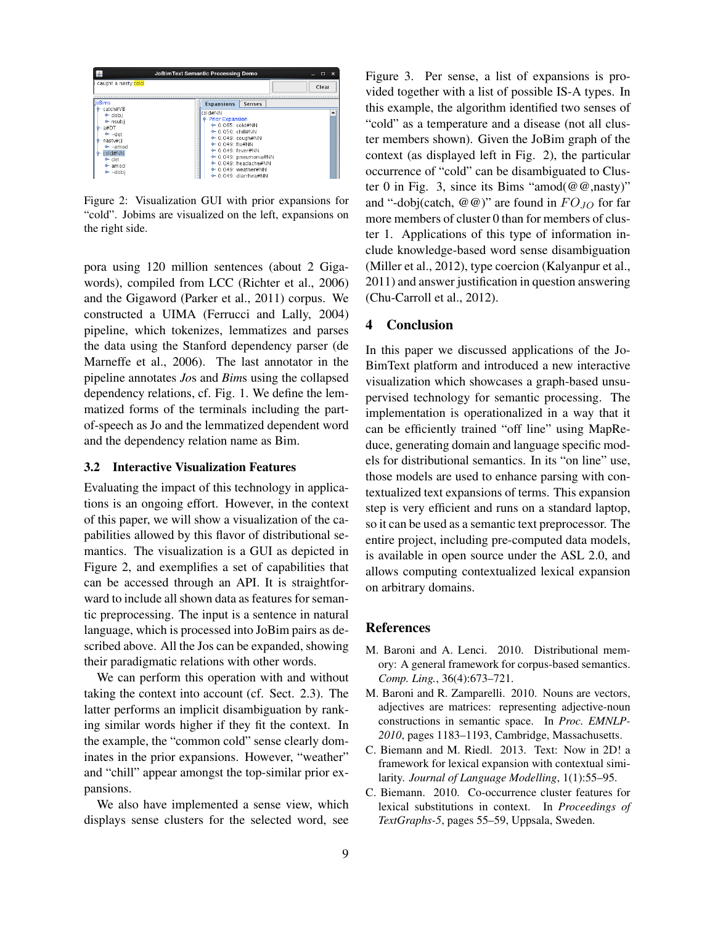|                                                                                                                            | JoBimText Semantic Processing Demo                                                                                                                                                                                                              | $\times$<br>$\Box$ |
|----------------------------------------------------------------------------------------------------------------------------|-------------------------------------------------------------------------------------------------------------------------------------------------------------------------------------------------------------------------------------------------|--------------------|
| caught a nasty cold                                                                                                        |                                                                                                                                                                                                                                                 | Clear              |
| lloBims<br>- catch#VB<br>$\bullet$ dobi<br>$e$ nsubi<br>a#DT<br>$e^-$ -det<br>nastw<br>$\bullet$ -amod<br>MM#blop<br>← det | <b>Expansions</b><br><b>Senses</b><br>cold#NN<br><b>Prior Expansion</b><br>$+ 0.065$ : cold#NN<br>$+ 0.050$ chill#NN<br>$\div$ 0.049: cough#NN<br>$+ 0.049$ flu#NN<br>$+ 0.049$ : fever#NN<br>$\div$ 0.049: pneumonia#NN<br>0-0.049 headache#NN |                    |
| $\bullet$ amod<br>$e$ -dobi                                                                                                | $\div$ 0.049: weather#NN<br>$\div$ 0.049: diarrhea#NN                                                                                                                                                                                           |                    |

Figure 2: Visualization GUI with prior expansions for "cold". Jobims are visualized on the left, expansions on the right side.

pora using 120 million sentences (about 2 Gigawords), compiled from LCC (Richter et al., 2006) and the Gigaword (Parker et al., 2011) corpus. We constructed a UIMA (Ferrucci and Lally, 2004) pipeline, which tokenizes, lemmatizes and parses the data using the Stanford dependency parser (de Marneffe et al., 2006). The last annotator in the pipeline annotates *Jo*s and *Bim*s using the collapsed dependency relations, cf. Fig. 1. We define the lemmatized forms of the terminals including the partof-speech as Jo and the lemmatized dependent word and the dependency relation name as Bim.

#### 3.2 Interactive Visualization Features

Evaluating the impact of this technology in applications is an ongoing effort. However, in the context of this paper, we will show a visualization of the capabilities allowed by this flavor of distributional semantics. The visualization is a GUI as depicted in Figure 2, and exemplifies a set of capabilities that can be accessed through an API. It is straightforward to include all shown data as features for semantic preprocessing. The input is a sentence in natural language, which is processed into JoBim pairs as described above. All the Jos can be expanded, showing their paradigmatic relations with other words.

We can perform this operation with and without taking the context into account (cf. Sect. 2.3). The latter performs an implicit disambiguation by ranking similar words higher if they fit the context. In the example, the "common cold" sense clearly dominates in the prior expansions. However, "weather" and "chill" appear amongst the top-similar prior expansions.

We also have implemented a sense view, which displays sense clusters for the selected word, see Figure 3. Per sense, a list of expansions is provided together with a list of possible IS-A types. In this example, the algorithm identified two senses of "cold" as a temperature and a disease (not all cluster members shown). Given the JoBim graph of the context (as displayed left in Fig. 2), the particular occurrence of "cold" can be disambiguated to Cluster 0 in Fig. 3, since its Bims "amod $(\omega \omega, \text{nasty})$ " and "-dobj(catch,  $\omega(\omega)$ " are found in  $FO_{JO}$  for far more members of cluster 0 than for members of cluster 1. Applications of this type of information include knowledge-based word sense disambiguation (Miller et al., 2012), type coercion (Kalyanpur et al., 2011) and answer justification in question answering (Chu-Carroll et al., 2012).

## 4 Conclusion

In this paper we discussed applications of the Jo-BimText platform and introduced a new interactive visualization which showcases a graph-based unsupervised technology for semantic processing. The implementation is operationalized in a way that it can be efficiently trained "off line" using MapReduce, generating domain and language specific models for distributional semantics. In its "on line" use, those models are used to enhance parsing with contextualized text expansions of terms. This expansion step is very efficient and runs on a standard laptop, so it can be used as a semantic text preprocessor. The entire project, including pre-computed data models, is available in open source under the ASL 2.0, and allows computing contextualized lexical expansion on arbitrary domains.

#### References

- M. Baroni and A. Lenci. 2010. Distributional memory: A general framework for corpus-based semantics. *Comp. Ling.*, 36(4):673–721.
- M. Baroni and R. Zamparelli. 2010. Nouns are vectors, adjectives are matrices: representing adjective-noun constructions in semantic space. In *Proc. EMNLP-2010*, pages 1183–1193, Cambridge, Massachusetts.
- C. Biemann and M. Riedl. 2013. Text: Now in 2D! a framework for lexical expansion with contextual similarity. *Journal of Language Modelling*, 1(1):55–95.
- C. Biemann. 2010. Co-occurrence cluster features for lexical substitutions in context. In *Proceedings of TextGraphs-5*, pages 55–59, Uppsala, Sweden.